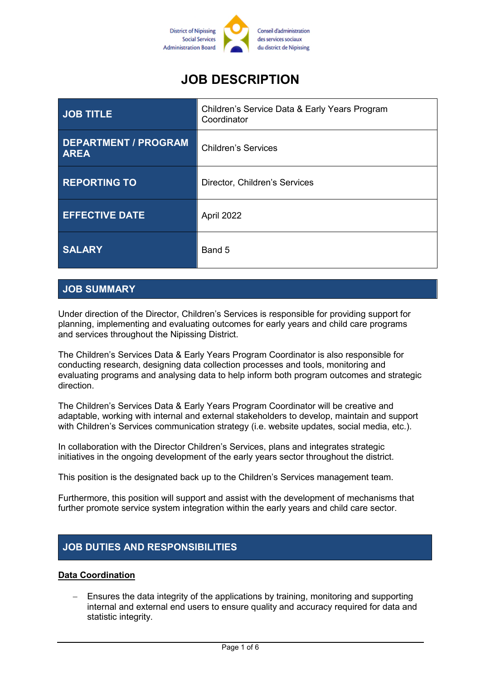

# **JOB DESCRIPTION**

| JOB TITLE                                  | Children's Service Data & Early Years Program<br>Coordinator |
|--------------------------------------------|--------------------------------------------------------------|
| <b>DEPARTMENT / PROGRAM</b><br><b>AREA</b> | <b>Children's Services</b>                                   |
| <b>REPORTING TO</b>                        | Director, Children's Services                                |
| <b>EFFECTIVE DATE</b>                      | April 2022                                                   |
| <b>SALARY</b>                              | Band 5                                                       |

## **JOB SUMMARY**

Under direction of the Director, Children's Services is responsible for providing support for planning, implementing and evaluating outcomes for early years and child care programs and services throughout the Nipissing District.

The Children's Services Data & Early Years Program Coordinator is also responsible for conducting research, designing data collection processes and tools, monitoring and evaluating programs and analysing data to help inform both program outcomes and strategic direction.

The Children's Services Data & Early Years Program Coordinator will be creative and adaptable, working with internal and external stakeholders to develop, maintain and support with Children's Services communication strategy (i.e. website updates, social media, etc.).

In collaboration with the Director Children's Services, plans and integrates strategic initiatives in the ongoing development of the early years sector throughout the district.

This position is the designated back up to the Children's Services management team.

Furthermore, this position will support and assist with the development of mechanisms that further promote service system integration within the early years and child care sector.

# **JOB DUTIES AND RESPONSIBILITIES**

#### **Data Coordination**

 Ensures the data integrity of the applications by training, monitoring and supporting internal and external end users to ensure quality and accuracy required for data and statistic integrity.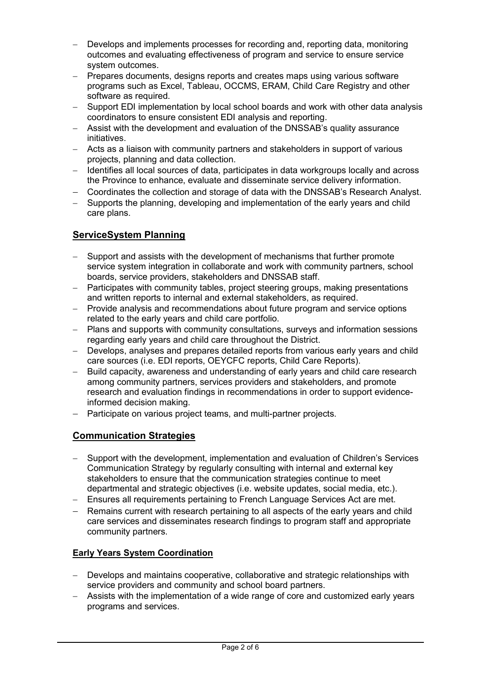- Develops and implements processes for recording and, reporting data, monitoring outcomes and evaluating effectiveness of program and service to ensure service system outcomes.
- Prepares documents, designs reports and creates maps using various software programs such as Excel, Tableau, OCCMS, ERAM, Child Care Registry and other software as required.
- Support EDI implementation by local school boards and work with other data analysis coordinators to ensure consistent EDI analysis and reporting.
- Assist with the development and evaluation of the DNSSAB's quality assurance initiatives.
- Acts as a liaison with community partners and stakeholders in support of various projects, planning and data collection.
- Identifies all local sources of data, participates in data workgroups locally and across the Province to enhance, evaluate and disseminate service delivery information.
- Coordinates the collection and storage of data with the DNSSAB's Research Analyst.
- Supports the planning, developing and implementation of the early years and child care plans.

## **ServiceSystem Planning**

- Support and assists with the development of mechanisms that further promote service system integration in collaborate and work with community partners, school boards, service providers, stakeholders and DNSSAB staff.
- Participates with community tables, project steering groups, making presentations and written reports to internal and external stakeholders, as required.
- Provide analysis and recommendations about future program and service options related to the early years and child care portfolio.
- Plans and supports with community consultations, surveys and information sessions regarding early years and child care throughout the District.
- Develops, analyses and prepares detailed reports from various early years and child care sources (i.e. EDI reports, OEYCFC reports, Child Care Reports).
- Build capacity, awareness and understanding of early years and child care research among community partners, services providers and stakeholders, and promote research and evaluation findings in recommendations in order to support evidenceinformed decision making.
- Participate on various project teams, and multi-partner projects.

#### **Communication Strategies**

- Support with the development, implementation and evaluation of Children's Services Communication Strategy by regularly consulting with internal and external key stakeholders to ensure that the communication strategies continue to meet departmental and strategic objectives (i.e. website updates, social media, etc.).
- Ensures all requirements pertaining to French Language Services Act are met.
- Remains current with research pertaining to all aspects of the early vears and child care services and disseminates research findings to program staff and appropriate community partners.

#### **Early Years System Coordination**

- Develops and maintains cooperative, collaborative and strategic relationships with service providers and community and school board partners.
- Assists with the implementation of a wide range of core and customized early years programs and services.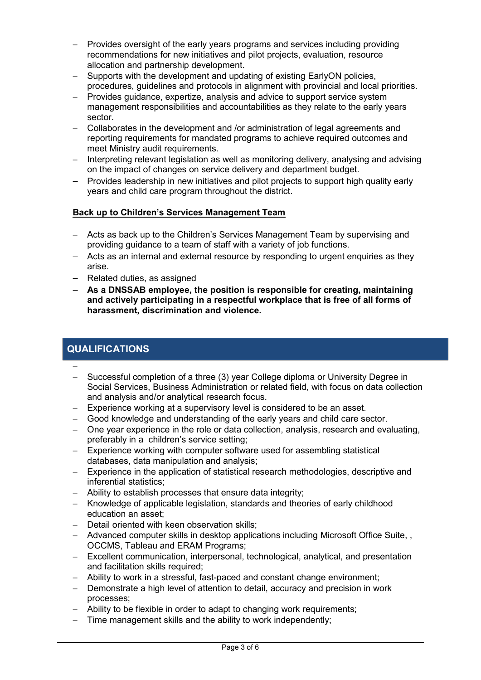- Provides oversight of the early years programs and services including providing recommendations for new initiatives and pilot projects, evaluation, resource allocation and partnership development.
- Supports with the development and updating of existing EarlyON policies, procedures, guidelines and protocols in alignment with provincial and local priorities.
- Provides guidance, expertize, analysis and advice to support service system management responsibilities and accountabilities as they relate to the early years sector.
- Collaborates in the development and /or administration of legal agreements and reporting requirements for mandated programs to achieve required outcomes and meet Ministry audit requirements.
- Interpreting relevant legislation as well as monitoring delivery, analysing and advising on the impact of changes on service delivery and department budget.
- Provides leadership in new initiatives and pilot projects to support high quality early years and child care program throughout the district.

#### **Back up to Children's Services Management Team**

- Acts as back up to the Children's Services Management Team by supervising and providing guidance to a team of staff with a variety of job functions.
- Acts as an internal and external resource by responding to urgent enquiries as they arise.
- Related duties, as assigned
- **As a DNSSAB employee, the position is responsible for creating, maintaining and actively participating in a respectful workplace that is free of all forms of harassment, discrimination and violence.**

## **QUALIFICATIONS**

 $\overline{\phantom{0}}$ 

- Successful completion of a three (3) year College diploma or University Degree in Social Services, Business Administration or related field, with focus on data collection and analysis and/or analytical research focus.
- Experience working at a supervisory level is considered to be an asset.
- Good knowledge and understanding of the early years and child care sector.
- One year experience in the role or data collection, analysis, research and evaluating, preferably in a children's service setting;
- Experience working with computer software used for assembling statistical databases, data manipulation and analysis;
- Experience in the application of statistical research methodologies, descriptive and inferential statistics;
- Ability to establish processes that ensure data integrity;
- Knowledge of applicable legislation, standards and theories of early childhood education an asset;
- Detail oriented with keen observation skills;
- Advanced computer skills in desktop applications including Microsoft Office Suite, , OCCMS, Tableau and ERAM Programs;
- Excellent communication, interpersonal, technological, analytical, and presentation and facilitation skills required;
- Ability to work in a stressful, fast-paced and constant change environment;
- Demonstrate a high level of attention to detail, accuracy and precision in work processes;
- Ability to be flexible in order to adapt to changing work requirements:
- Time management skills and the ability to work independently: